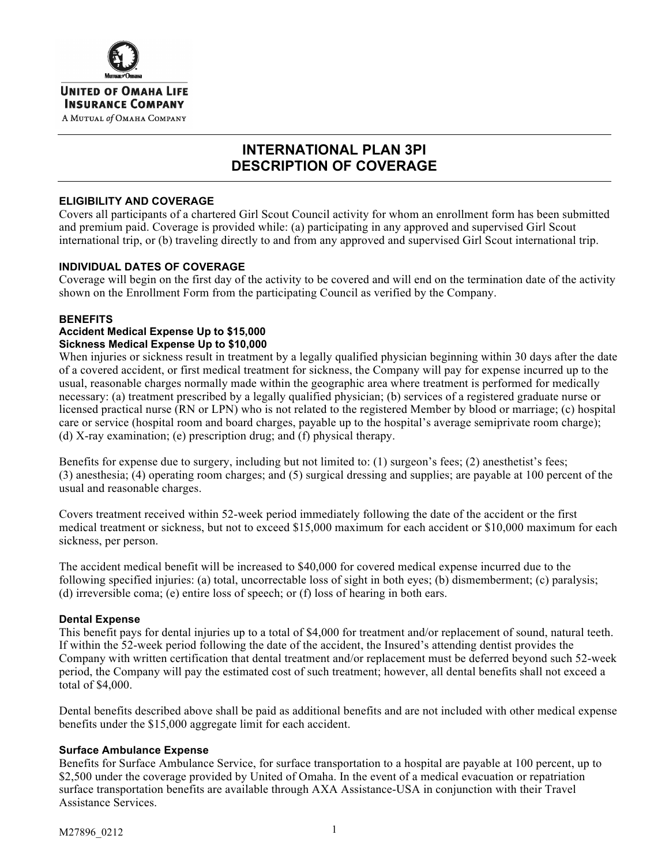

# **INTERNATIONAL PLAN 3PI DESCRIPTION OF COVERAGE**

# **ELIGIBILITY AND COVERAGE**

Covers all participants of a chartered Girl Scout Council activity for whom an enrollment form has been submitted and premium paid. Coverage is provided while: (a) participating in any approved and supervised Girl Scout international trip, or (b) traveling directly to and from any approved and supervised Girl Scout international trip.

# **INDIVIDUAL DATES OF COVERAGE**

Coverage will begin on the first day of the activity to be covered and will end on the termination date of the activity shown on the Enrollment Form from the participating Council as verified by the Company.

#### **BENEFITS**

#### **Accident Medical Expense Up to \$15,000 Sickness Medical Expense Up to \$10,000**

When injuries or sickness result in treatment by a legally qualified physician beginning within 30 days after the date of a covered accident, or first medical treatment for sickness, the Company will pay for expense incurred up to the usual, reasonable charges normally made within the geographic area where treatment is performed for medically necessary: (a) treatment prescribed by a legally qualified physician; (b) services of a registered graduate nurse or licensed practical nurse (RN or LPN) who is not related to the registered Member by blood or marriage; (c) hospital care or service (hospital room and board charges, payable up to the hospital's average semiprivate room charge); (d) X-ray examination; (e) prescription drug; and (f) physical therapy.

Benefits for expense due to surgery, including but not limited to: (1) surgeon's fees; (2) anesthetist's fees; (3) anesthesia; (4) operating room charges; and (5) surgical dressing and supplies; are payable at 100 percent of the usual and reasonable charges.

Covers treatment received within 52-week period immediately following the date of the accident or the first medical treatment or sickness, but not to exceed \$15,000 maximum for each accident or \$10,000 maximum for each sickness, per person.

The accident medical benefit will be increased to \$40,000 for covered medical expense incurred due to the following specified injuries: (a) total, uncorrectable loss of sight in both eyes; (b) dismemberment; (c) paralysis; (d) irreversible coma; (e) entire loss of speech; or (f) loss of hearing in both ears.

### **Dental Expense**

This benefit pays for dental injuries up to a total of \$4,000 for treatment and/or replacement of sound, natural teeth. If within the 52-week period following the date of the accident, the Insured's attending dentist provides the Company with written certification that dental treatment and/or replacement must be deferred beyond such 52-week period, the Company will pay the estimated cost of such treatment; however, all dental benefits shall not exceed a total of \$4,000.

Dental benefits described above shall be paid as additional benefits and are not included with other medical expense benefits under the \$15,000 aggregate limit for each accident.

### **Surface Ambulance Expense**

Benefits for Surface Ambulance Service, for surface transportation to a hospital are payable at 100 percent, up to \$2,500 under the coverage provided by United of Omaha. In the event of a medical evacuation or repatriation surface transportation benefits are available through AXA Assistance-USA in conjunction with their Travel Assistance Services.